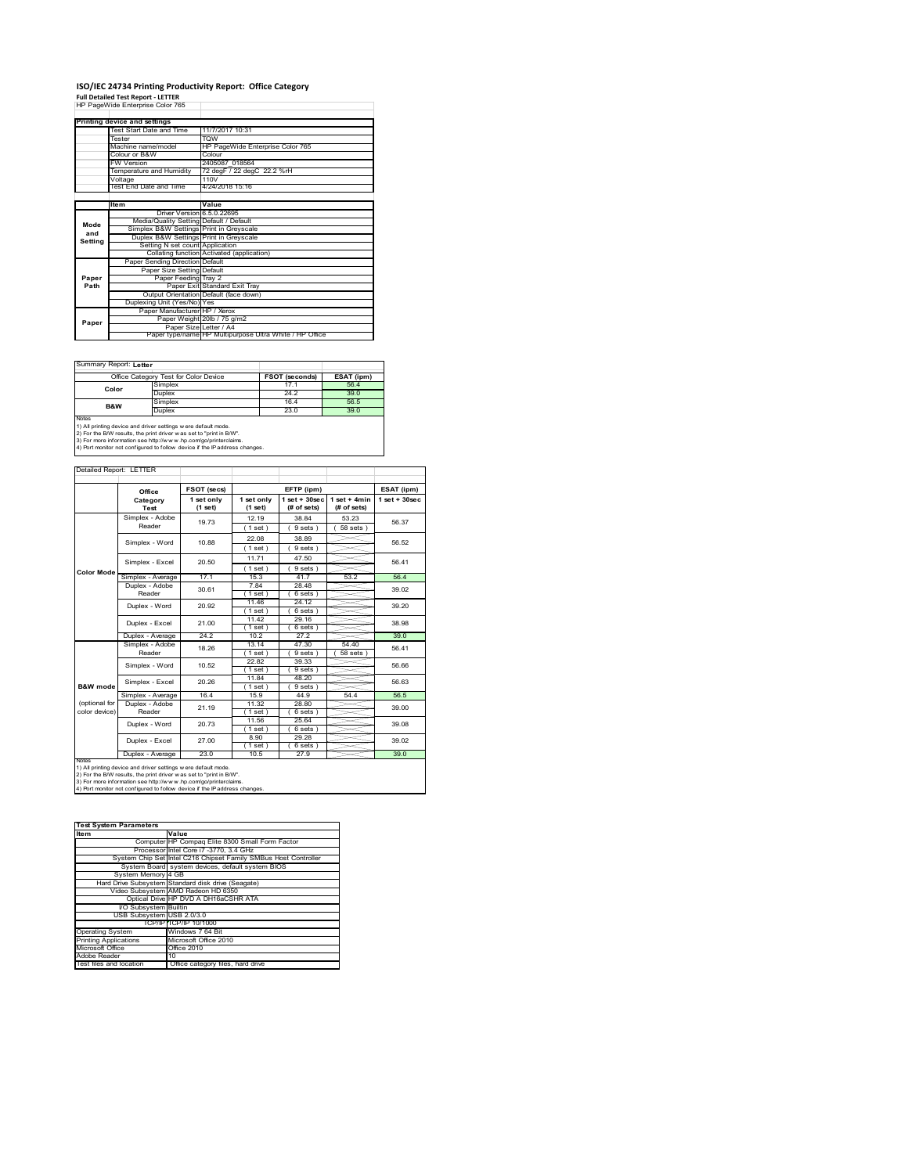# **ISO/IEC 24734 Printing Productivity Report: Office Category Full Detailed Test Report ‐ LETTER** HP PageWide Enterprise Color 765

|         | <b>Printing device and settings</b>     |                                                         |
|---------|-----------------------------------------|---------------------------------------------------------|
|         | Test Start Date and Time                | 11/7/2017 10:31                                         |
|         | Tester                                  | <b>TOW</b>                                              |
|         | Machine name/model                      | HP PageWide Enterprise Color 765                        |
|         | Colour or B&W                           | Colour                                                  |
|         | FW Version                              | 2405087 018564                                          |
|         | Temperature and Humidity                | 72 degF / 22 degC 22.2 %rH                              |
|         | Voltage                                 | 110V                                                    |
|         | Test End Date and Time                  | 4/24/2018 15:16                                         |
|         |                                         |                                                         |
|         | ltem                                    | Value                                                   |
|         | Driver Version 6.5.0.22695              |                                                         |
| Mode    | Media/Quality Setting Default / Default |                                                         |
| and     | Simplex B&W Settings Print in Greyscale |                                                         |
| Setting | Duplex B&W Settings Print in Greyscale  |                                                         |
|         | Setting N set count Application         |                                                         |
|         |                                         | Collating function Activated (application)              |
|         | Paper Sending Direction Default         |                                                         |
|         | Paper Size Setting Default              |                                                         |
| Paper   | Paper Feeding Tray 2                    |                                                         |
| Path    |                                         | Paper Exit Standard Exit Tray                           |
|         |                                         | Output Orientation Default (face down)                  |
|         | Duplexing Unit (Yes/No) Yes             |                                                         |
|         | Paper Manufacturer HP / Xerox           |                                                         |
| Paper   |                                         | Paper Weight 20lb / 75 g/m2                             |
|         | Paper Size Letter / A4                  |                                                         |
|         |                                         | Paper type/name HP Multipurpose Ultra White / HP Office |

Ï

٦

Summary Report: **Letter**

|                                                                | Office Category Test for Color Device                               | <b>FSOT (seconds)</b> | ESAT (ipm) |  |  |  |
|----------------------------------------------------------------|---------------------------------------------------------------------|-----------------------|------------|--|--|--|
| Color                                                          | Simplex                                                             | 17.1                  | 56.4       |  |  |  |
|                                                                | Duplex                                                              | 24.2                  | 39.0       |  |  |  |
| <b>B&amp;W</b>                                                 | Simplex                                                             | 16.4                  | 56.5       |  |  |  |
|                                                                | Duplex                                                              | 23.0                  | 39.0       |  |  |  |
| <b>Notes</b>                                                   |                                                                     |                       |            |  |  |  |
| 1) All printing device and driver settings w ere default mode. |                                                                     |                       |            |  |  |  |
|                                                                | 2) For the B/W results, the print driver was set to "print in B/W". |                       |            |  |  |  |
|                                                                | 3) For more information see http://www.bp.com/go/printerclaims      |                       |            |  |  |  |

3) For more information see http://w w w .hp.com/go/printerclaims. 4) Port monitor not configured to follow device if the IP address changes.

| Detailed Report: LETTER |                           |                       |                       |                                   |                               |                    |
|-------------------------|---------------------------|-----------------------|-----------------------|-----------------------------------|-------------------------------|--------------------|
|                         | Office                    | FSOT (secs)           |                       | EFTP (ipm)                        |                               | ESAT (ipm)         |
|                         | Category<br>Test          | 1 set only<br>(1 set) | 1 set only<br>(1 set) | $1$ set + $30$ sec<br>(# of sets) | $1$ set + 4min<br>(# of sets) | $1$ set + $30$ sec |
|                         | Simplex - Adobe           | 19 73                 | 12.19                 | 38.84                             | 53 23                         | 56.37              |
|                         | Reader                    |                       | $1$ set)              | 9 sets)                           | 58 sets                       |                    |
|                         | Simplex - Word            | 10.88                 | 22.08                 | 38.89                             |                               | 56.52              |
|                         |                           |                       | (1 set)               | 9 sets)                           |                               |                    |
|                         | Simplex - Excel           | 20.50                 | 11.71                 | 47.50                             |                               | 56 41              |
| <b>Color Mode</b>       |                           |                       | (1 set)               | 9 sets)                           |                               |                    |
|                         | Simplex - Average         | 17.1                  | 15.3                  | 41.7                              | 53.2                          | 56.4               |
|                         | Duplex - Adobe<br>Reader  | 30.61                 | 7.84                  | 28.48                             |                               | 39.02              |
|                         |                           |                       | $1$ set)              | 6 sets)                           |                               |                    |
|                         | Duplex - Word             | 20.92                 | 11.46                 | 24 12                             |                               | 39 20              |
|                         |                           |                       | $1$ set $)$           | 6 sets                            |                               |                    |
|                         | Duplex - Excel            | 21.00                 | 11.42                 | 29.16                             |                               | 38.98              |
|                         |                           | 24.2                  | $1$ set)<br>10.2      | 6 sets)<br>27.2                   |                               | 39.0               |
|                         | Duplex - Average          |                       |                       |                                   |                               |                    |
|                         | Simplex - Adobe<br>Reader | 18.26                 | 13.14<br>(1 set)      | 47.30<br>9 sets                   | 54.40<br>58 sets              | 56 41              |
|                         |                           |                       | 22.82                 | 39.33                             |                               |                    |
|                         | Simplex - Word            | 10.52                 | (1 set )              | 9 sets)                           |                               | 56.66              |
|                         |                           |                       | 1184                  | 48.20                             |                               |                    |
| <b>B&amp;W</b> mode     | Simplex - Excel           | 20.26                 | $1$ set)              | 9 sets)                           |                               | 56.63              |
|                         | Simplex - Average         | 16.4                  | 15.9                  | 44.9                              | 544                           | 56.5               |
| (optional for           | Duplex - Adobe            | 21.19                 | 11.32                 | 28.80                             |                               | 39.00              |
| color device)           | Reader                    |                       | (1 set)               | 6 sets)                           |                               |                    |
|                         | Duplex - Word             | 20.73                 | 11.56                 | 25.64                             |                               | 39.08              |
|                         |                           |                       | (1 set )              | 6 sets)                           |                               |                    |
|                         | Duplex - Excel            | 27.00                 | 8.90                  | 29.28                             |                               | 39.02              |
|                         |                           |                       | $1$ set)              | 6 sets)                           |                               |                    |
| <b>NOtes</b>            | Duplex - Average          | 23.0                  | 10.5                  | 27.9                              |                               | 39.0               |

notes<br>1) All printing device and driver settings were default mode.<br>2) For the B/W results, the print driver was set to "print in B/W".<br>3) For more information see http://www.hp.com/go/printerclaims.<br>4) Por morator not con

| <b>Test System Parameters</b> |                                                                 |
|-------------------------------|-----------------------------------------------------------------|
| <b>Item</b>                   | Value                                                           |
|                               | Computer HP Compag Elite 8300 Small Form Factor                 |
|                               | Processor Intel Core i7 -3770, 3.4 GHz                          |
|                               | System Chip Set Intel C216 Chipset Family SMBus Host Controller |
|                               | System Board system devices, default system BIOS                |
| System Memory 4 GB            |                                                                 |
|                               | Hard Drive Subsystem Standard disk drive (Seagate)              |
|                               | Video Subsystem AMD Radeon HD 6350                              |
|                               | Optical Drive HP DVD A DH16aCSHR ATA                            |
| I/O Subsystem Builtin         |                                                                 |
| USB Subsystem USB 2.0/3.0     |                                                                 |
|                               | TCP/IPITCP/IP 10/1000                                           |
| <b>Operating System</b>       | Windows 7 64 Bit                                                |
| <b>Printing Applications</b>  | Microsoft Office 2010                                           |
| Microsoft Office              | Office 2010                                                     |
| Adobe Reader                  | 10                                                              |
| Test files and location       | Office category files, hard drive                               |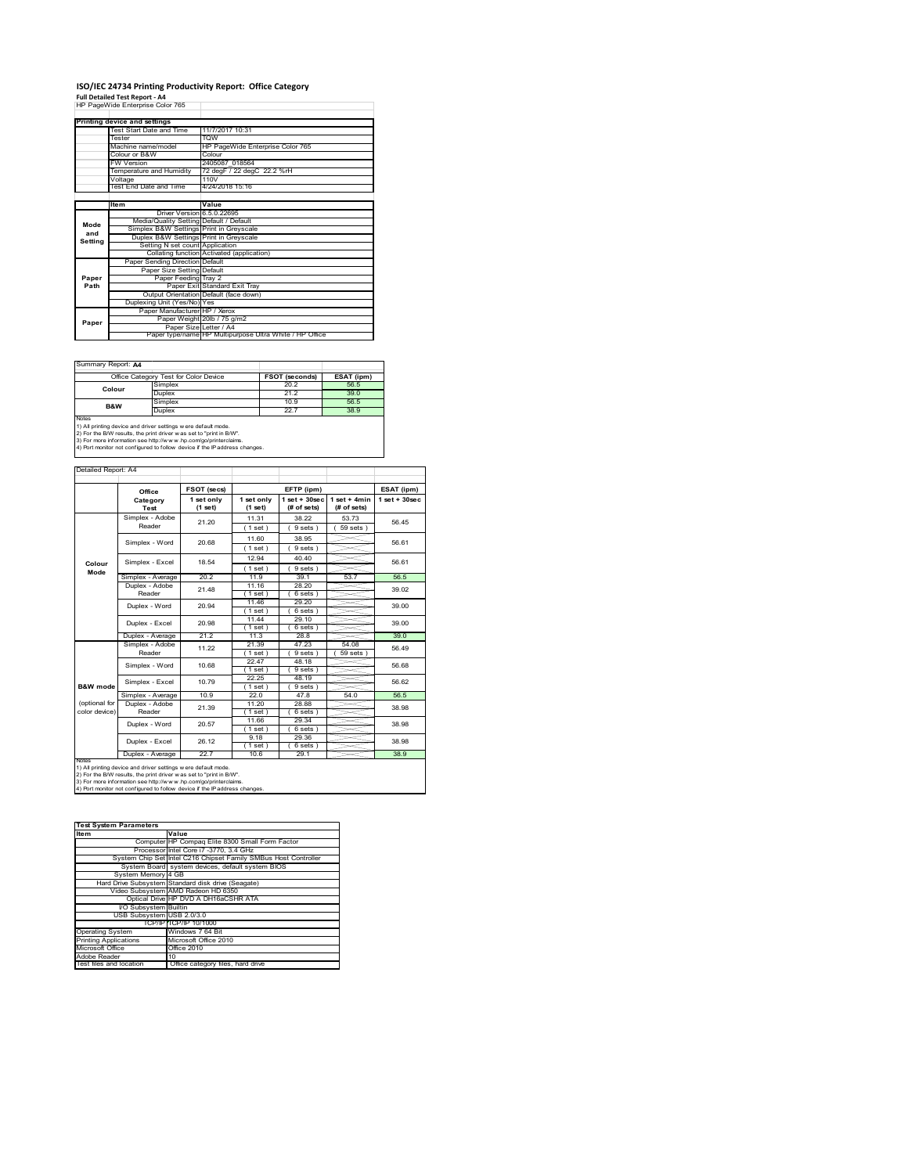### **ISO/IEC 24734 Printing Productivity Report: Office Category**

**Full Detailed Test Report ‐ A4** HP PageWide Enterprise Color 765

|         | Printing device and settings            |                                                         |
|---------|-----------------------------------------|---------------------------------------------------------|
|         | Test Start Date and Time                | 11/7/2017 10:31                                         |
|         | Tester                                  | <b>TOW</b>                                              |
|         | Machine name/model                      | HP PageWide Enterprise Color 765                        |
|         | Colour or B&W                           | Colour                                                  |
|         | FW Version                              | 2405087 018564                                          |
|         | Temperature and Humidity                | 72 degF / 22 degC 22.2 %rH                              |
|         | Voltage                                 | 110V                                                    |
|         | Test End Date and Time                  | 4/24/2018 15:16                                         |
|         |                                         |                                                         |
|         | ltem                                    | Value                                                   |
|         | Driver Version 6.5.0.22695              |                                                         |
| Mode    | Media/Quality Setting Default / Default |                                                         |
| and     | Simplex B&W Settings Print in Greyscale |                                                         |
| Setting | Duplex B&W Settings Print in Greyscale  |                                                         |
|         | Setting N set count Application         |                                                         |
|         |                                         | Collating function Activated (application)              |
|         | Paper Sending Direction Default         |                                                         |
|         | Paper Size Setting Default              |                                                         |
| Paper   | Paper Feeding Tray 2                    |                                                         |
| Path    |                                         | Paper Exit Standard Exit Tray                           |
|         |                                         | Output Orientation Default (face down)                  |
|         | Duplexing Unit (Yes/No) Yes             |                                                         |
|         | Paper Manufacturer HP / Xerox           |                                                         |
| Paper   |                                         | Paper Weight 20lb / 75 g/m2                             |
|         | Paper Size Letter / A4                  |                                                         |
|         |                                         | Paper type/name HP Multipurpose Ultra White / HP Office |

٦

Summary Report: **A4**

|                | Office Category Test for Color Device                               | <b>FSOT (seconds)</b> | ESAT (ipm) |
|----------------|---------------------------------------------------------------------|-----------------------|------------|
| Colour         | Simplex                                                             | 20.2                  | 56.5       |
|                | Duplex                                                              | 21.2                  | 39.0       |
| <b>B&amp;W</b> | Simplex                                                             | 10.9                  | 56.5       |
|                | Duplex                                                              | 22.7                  | 38.9       |
| Notes          |                                                                     |                       |            |
|                | 1) All printing device and driver settings w ere default mode.      |                       |            |
|                | 2) For the B/W results, the print driver was set to "print in B/W". |                       |            |

2) For the B/W results, the print driver w as set to "print in B/W".<br>3) For more information see http://w w w .hp.com/go/printerclaims.<br>4) Port monitor not configured to follow device if the IP address changes.

|                                | Office                                                         | FSOT (secs)             | EFTP (ipm)              |                                  | ESAT (ipm)                    |                    |
|--------------------------------|----------------------------------------------------------------|-------------------------|-------------------------|----------------------------------|-------------------------------|--------------------|
|                                | Category<br>Test                                               | 1 set only<br>$(1$ set) | 1 set only<br>$(1$ set) | $1$ set $+30$ sec<br>(# of sets) | $1$ set + 4min<br>(# of sets) | $1$ set + $30$ sec |
|                                | Simplex - Adobe                                                | 21.20                   | 11.31                   | 38.22                            | 53.73                         | 56 45              |
|                                | Reader                                                         |                         | (1 set)                 | 9 sets                           | $59$ sets $)$                 |                    |
|                                | Simplex - Word                                                 | 20.68                   | 11.60                   | 38.95                            |                               | 56.61              |
|                                |                                                                |                         | (1 set)                 | 9 sets)                          |                               |                    |
|                                | Simplex - Excel                                                | 18.54                   | 12.94                   | 40.40                            |                               | 56.61              |
| Colour<br>Mode                 |                                                                |                         | (1 set)                 | 9 sets                           |                               |                    |
|                                | Simplex - Average                                              | 20.2                    | 11.9                    | 39.1                             | 53.7                          | 56 <sub>5</sub>    |
|                                | Duplex - Adobe                                                 | 21 48                   | 11.16                   | 28.20                            |                               | 39.02              |
|                                | Reader                                                         |                         | $1$ set)                | 6 sets)                          |                               |                    |
|                                | Duplex - Word                                                  | 20.94                   | 11.46                   | 29.20                            |                               | 39.00              |
|                                |                                                                |                         | $1$ set)<br>11 44       | 6 sets )<br>29.10                |                               |                    |
|                                | Duplex - Excel                                                 | 20.98                   | $1$ set)                | 6 sets 1                         |                               | 39.00              |
|                                | Duplex - Average                                               | 21.2                    | 11.3                    | 28.8                             |                               | 39.0               |
|                                | Simplex - Adobe                                                | 11.22                   | 21.39                   | 47.23                            | 54.08                         | 56.49              |
|                                | Reader                                                         |                         | $1$ set $)$             | 9 sets                           | 59 sets                       |                    |
|                                | Simplex - Word                                                 | 10.68                   | 22 47                   | 48 18                            |                               | 56.68              |
|                                |                                                                |                         | (1 set)                 | 9 sets )                         |                               |                    |
|                                | Simplex - Excel                                                | 10.79                   | 22.25                   | 48.19                            |                               | 56.62              |
| <b>B&amp;W</b> mode            |                                                                |                         | (1 set)                 | 9 sets)                          |                               |                    |
|                                | Simplex - Average                                              | 10.9                    | 22.0                    | 47.8                             | 54.0                          | 56.5               |
| (optional for<br>color device) | Duplex - Adobe                                                 | 21.39                   | 11 20                   | 28.88                            |                               | 38.98              |
|                                | Reader                                                         |                         | (1 set)<br>11.66        | 6 sets)<br>29.34                 |                               |                    |
|                                | Duplex - Word                                                  | 20.57                   | (1 set )                | 6 sets)                          |                               | 38.98              |
|                                |                                                                |                         | 9 18                    | 29.36                            |                               |                    |
|                                | Duplex - Excel                                                 | 26.12                   | $1$ set)                | 6 sets)                          |                               | 38.98              |
|                                | Duplex - Average                                               | 22.7                    | 10.6                    | 29.1                             |                               | 38.9               |
| <b>NOTAS</b>                   | 1) All printing device and driver settings w ere default mode. |                         |                         |                                  |                               |                    |

| <b>Test System Parameters</b> |                                                                 |
|-------------------------------|-----------------------------------------------------------------|
| <b>Item</b>                   | Value                                                           |
|                               | Computer HP Compag Elite 8300 Small Form Factor                 |
|                               | Processor Intel Core i7 -3770, 3.4 GHz                          |
|                               | System Chip Set Intel C216 Chipset Family SMBus Host Controller |
|                               | System Board system devices, default system BIOS                |
| System Memory 4 GB            |                                                                 |
|                               | Hard Drive Subsystem Standard disk drive (Seagate)              |
|                               | Video Subsystem AMD Radeon HD 6350                              |
|                               | Optical Drive HP DVD A DH16aCSHR ATA                            |
| I/O Subsystem Builtin         |                                                                 |
| USB Subsystem USB 2.0/3.0     |                                                                 |
|                               | TCP/IPITCP/IP 10/1000                                           |
| <b>Operating System</b>       | Windows 7 64 Bit                                                |
| <b>Printing Applications</b>  | Microsoft Office 2010                                           |
| Microsoft Office              | Office 2010                                                     |
| Adobe Reader                  | 10                                                              |
| Test files and location       | Office category files, hard drive                               |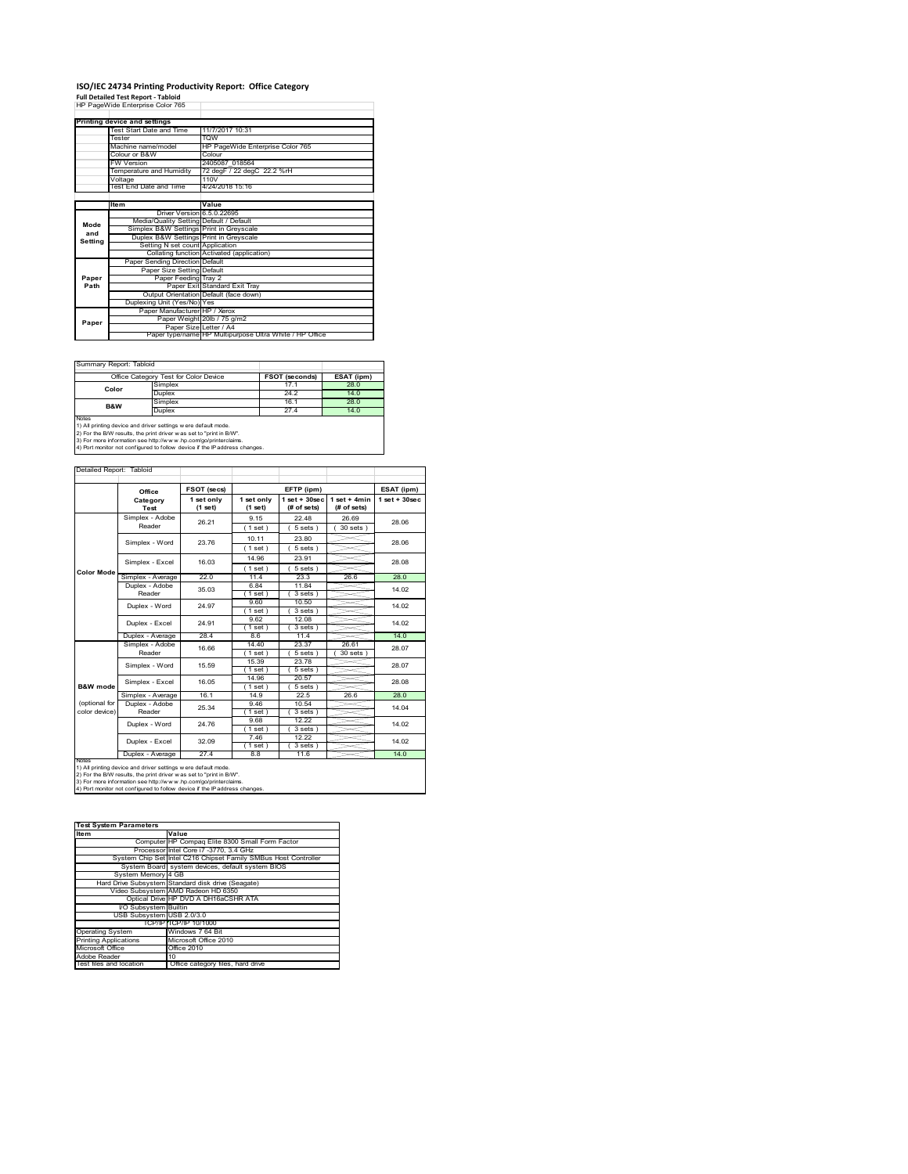# **ISO/IEC 24734 Printing Productivity Report: Office Category<br>Full Detailed Test Report - Tabloid<br>HP PageWide Enterprise Color 765**

|         | Printing device and settings            |                                                         |
|---------|-----------------------------------------|---------------------------------------------------------|
|         | Test Start Date and Time                | 11/7/2017 10:31                                         |
|         | Tester                                  | <b>TOW</b>                                              |
|         | Machine name/model                      | HP PageWide Enterprise Color 765                        |
|         | Colour or B&W                           | Colour                                                  |
|         | FW Version                              | 2405087 018564                                          |
|         | Temperature and Humidity                | 72 degF / 22 degC 22.2 %rH                              |
|         | Voltage                                 | 110V                                                    |
|         | Test End Date and Time                  | 4/24/2018 15:16                                         |
|         |                                         |                                                         |
|         | Item                                    | Value                                                   |
|         | Driver Version 6.5.0.22695              |                                                         |
| Mode    | Media/Quality Setting Default / Default |                                                         |
| and     | Simplex B&W Settings Print in Greyscale |                                                         |
| Setting | Duplex B&W Settings Print in Greyscale  |                                                         |
|         | Setting N set count Application         |                                                         |
|         |                                         | Collating function Activated (application)              |
|         | Paper Sending Direction Default         |                                                         |
|         | Paper Size Setting Default              |                                                         |
| Paper   | Paper Feeding Tray 2                    |                                                         |
| Path    |                                         | Paper Exit Standard Exit Tray                           |
|         |                                         | Output Orientation Default (face down)                  |
|         | Duplexing Unit (Yes/No) Yes             |                                                         |
|         | Paper Manufacturer HP / Xerox           |                                                         |
| Paper   |                                         | Paper Weight 20lb / 75 g/m2                             |
|         | Paper Size Letter / A4                  |                                                         |
|         |                                         | Paper type/name HP Multipurpose Ultra White / HP Office |

Ī.

 $\overline{\phantom{a}}$ 

Summary Report: Tabloi

| ------------------------------- |                                                                                                                                       |                |            |  |  |  |
|---------------------------------|---------------------------------------------------------------------------------------------------------------------------------------|----------------|------------|--|--|--|
|                                 | Office Category Test for Color Device                                                                                                 | FSOT (seconds) | ESAT (ipm) |  |  |  |
| Color                           | Simplex                                                                                                                               | 17.1           | 28.0       |  |  |  |
|                                 | Duplex                                                                                                                                | 24.2           | 14.0       |  |  |  |
|                                 | Simplex                                                                                                                               | 16.1           | 28.0       |  |  |  |
| B&W                             | Duplex                                                                                                                                | 27.4           | 14.0       |  |  |  |
| Notes                           | 1) All printing device and driver settings w ere default mode.<br>2) For the B/W results, the print driver was set to "print in B/W". |                |            |  |  |  |

2) For the B/W results, the print driver w as set to "print in B/W".<br>3) For more information see http://w w w .hp.com/go/printerclaims.<br>4) Port monitor not configured to follow device if the IP address changes.

| Detailed Report: Tabloid |  |  |
|--------------------------|--|--|

| <b>Color Mode</b>   | Office<br>Category<br>Test<br>Simplex - Adobe<br>Reader | 1 set only<br>$(1$ set)<br>26.21 | 1 set only<br>(1 set)<br>9 15 | $1$ set $+30$ sec<br>(# of sets)<br>22.48 | $1$ set + 4min<br>(# of sets) | $1$ set + $30$ sec |
|---------------------|---------------------------------------------------------|----------------------------------|-------------------------------|-------------------------------------------|-------------------------------|--------------------|
|                     |                                                         |                                  |                               |                                           |                               |                    |
|                     |                                                         |                                  |                               |                                           |                               |                    |
|                     |                                                         |                                  |                               |                                           | 26.69                         | 28.06              |
|                     |                                                         |                                  | (1 set)                       | 5 sets                                    | 30 sets 1                     |                    |
|                     |                                                         | 23.76                            | 10.11                         | 23.80                                     |                               | 28.06              |
|                     | Simplex - Word                                          |                                  | (1 set)                       | $5 sets$ )                                |                               |                    |
|                     | Simplex - Excel                                         | 16.03                            | 14.96                         | 23.91                                     |                               | 28.08              |
|                     |                                                         |                                  | (1 set)                       | 5 sets                                    |                               |                    |
|                     | Simplex - Average                                       | 22.0                             | 11.4                          | 23.3                                      | 26.6                          | 28.0               |
|                     | Duplex - Adobe                                          | 35.03                            | 6.84                          | 11.84                                     |                               | 14.02              |
|                     | Reader                                                  |                                  | $1$ set)                      | 3 sets 1                                  |                               |                    |
|                     | Duplex - Word                                           | 24 97                            | 960                           | 10.50                                     |                               | 14.02              |
|                     |                                                         |                                  | (1 set)                       | 3 sets                                    |                               |                    |
|                     | Duplex - Excel                                          | 24.91                            | 962                           | 12.08                                     |                               | 14.02              |
|                     |                                                         |                                  | (1 set)                       | 3 sets)                                   |                               |                    |
|                     | Duplex - Average                                        | 28.4                             | 86                            | 11.4                                      |                               | 14.0               |
|                     | Simplex - Adobe                                         | 16.66                            | 14.40                         | 23.37                                     | 26.61                         | 28.07              |
|                     | Reader                                                  |                                  | 1 set                         | 5 sets                                    | 30 sets                       |                    |
|                     | Simplex - Word                                          | 15.59                            | 15.39                         | 23.78                                     |                               | 28.07              |
|                     |                                                         |                                  | (1 set)                       | 5 sets )                                  |                               |                    |
|                     | Simplex - Excel                                         | 16.05                            | 14.96                         | 20.57                                     |                               | 28.08              |
| <b>B&amp;W</b> mode |                                                         |                                  | $'1$ set)                     | 5 sets)                                   |                               |                    |
|                     | Simplex - Average                                       | 16.1                             | 14.9                          | 22.5                                      | 26.6                          | 28.0               |
| (optional for       | Duplex - Adobe                                          | 25.34                            | 9.46                          | 10.54                                     |                               | 14.04              |
| color device)       | Reader                                                  |                                  | $1$ set $1$                   | 3 sets 1                                  |                               |                    |
|                     | Duplex - Word                                           | 24.76                            | 9.68                          | 12.22                                     |                               | 14.02              |
|                     |                                                         |                                  | (1 set)                       | 3 sets)                                   |                               |                    |
|                     | Duplex - Excel                                          | 32.09                            | 7.46                          | 12.22                                     |                               | 14.02              |
|                     |                                                         |                                  | $1$ set)                      | 3 sets)                                   |                               |                    |
| <b>NOIRS</b>        | Duplex - Average                                        | 27.4                             | 8.8                           | 11.6                                      |                               | 14.0               |

| <b>Test System Parameters</b> |                                                                 |
|-------------------------------|-----------------------------------------------------------------|
| <b>Item</b>                   | Value                                                           |
|                               | Computer HP Compag Elite 8300 Small Form Factor                 |
|                               | Processor Intel Core i7 -3770, 3.4 GHz                          |
|                               | System Chip Set Intel C216 Chipset Family SMBus Host Controller |
|                               | System Board system devices, default system BIOS                |
| System Memory 4 GB            |                                                                 |
|                               | Hard Drive Subsystem Standard disk drive (Seagate)              |
|                               | Video Subsystem AMD Radeon HD 6350                              |
|                               | Optical Drive HP DVD A DH16aCSHR ATA                            |
| I/O Subsystem Builtin         |                                                                 |
| USB Subsystem USB 2.0/3.0     |                                                                 |
|                               | TCP/IPITCP/IP 10/1000                                           |
| <b>Operating System</b>       | Windows 7 64 Bit                                                |
| <b>Printing Applications</b>  | Microsoft Office 2010                                           |
| Microsoft Office              | Office 2010                                                     |
| Adobe Reader                  | 10                                                              |
| Test files and location       | Office category files, hard drive                               |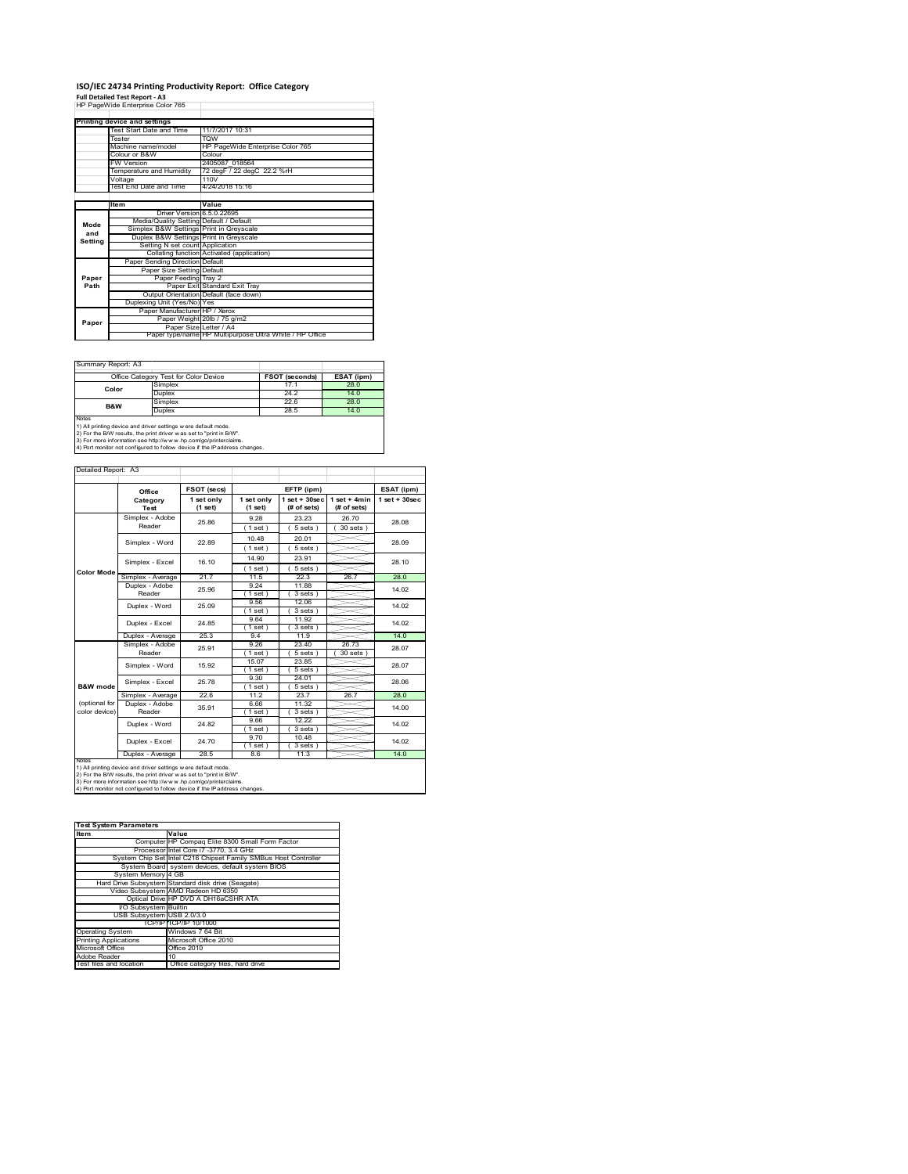### **ISO/IEC 24734 Printing Productivity Report: Office Category**

**Full Detailed Test Report ‐ A3** HP PageWide Enterprise Color 765

|         | Printing device and settings            |                                                         |  |  |
|---------|-----------------------------------------|---------------------------------------------------------|--|--|
|         | Test Start Date and Time                | 11/7/2017 10:31                                         |  |  |
|         | Tester                                  | <b>TOW</b>                                              |  |  |
|         | Machine name/model                      | HP PageWide Enterprise Color 765                        |  |  |
|         | Colour or B&W                           | Colour                                                  |  |  |
|         | FW Version                              | 2405087 018564                                          |  |  |
|         | Temperature and Humidity                | 72 degF / 22 degC 22.2 %rH                              |  |  |
|         | Voltage                                 | 110V                                                    |  |  |
|         | Test End Date and Time                  | 4/24/2018 15:16                                         |  |  |
|         |                                         |                                                         |  |  |
|         | Item                                    | Value                                                   |  |  |
|         | Driver Version 6.5.0.22695              |                                                         |  |  |
| Mode    | Media/Quality Setting Default / Default |                                                         |  |  |
| and     | Simplex B&W Settings Print in Greyscale |                                                         |  |  |
| Setting | Duplex B&W Settings Print in Greyscale  |                                                         |  |  |
|         | Setting N set count Application         |                                                         |  |  |
|         |                                         | Collating function Activated (application)              |  |  |
|         | Paper Sending Direction Default         |                                                         |  |  |
|         | Paper Size Setting Default              |                                                         |  |  |
| Paper   | Paper Feeding Tray 2                    |                                                         |  |  |
| Path    |                                         | Paper Exit Standard Exit Tray                           |  |  |
|         |                                         | Output Orientation Default (face down)                  |  |  |
|         | Duplexing Unit (Yes/No) Yes             |                                                         |  |  |
|         | Paper Manufacturer HP / Xerox           |                                                         |  |  |
| Paper   |                                         | Paper Weight 20lb / 75 g/m2                             |  |  |
|         | Paper Size Letter / A4                  |                                                         |  |  |
|         |                                         | Paper type/name HP Multipurpose Ultra White / HP Office |  |  |

٦

Summary Report: A3

|       | Office Category Test for Color Device                               | <b>FSOT (seconds)</b> | ESAT (ipm) |
|-------|---------------------------------------------------------------------|-----------------------|------------|
| Color | Simplex                                                             | 17.1                  | 28.0       |
|       | Duplex                                                              | 24.2                  | 14.0       |
| B&W   | Simplex                                                             | 22.6                  | 28.0       |
|       | Duplex                                                              | 28.5                  | 14.0       |
| Notes |                                                                     |                       |            |
|       | 1) All printing device and driver settings w ere default mode.      |                       |            |
|       | 2) For the B/W results, the print driver was set to "print in B/W". |                       |            |

2) For the B/W results, the print driver w as set to "print in B/W".<br>3) For more information see http://w w w .hp.com/go/printerclaims.<br>4) Port monitor not configured to follow device if the IP address changes.

|                     | Office<br>Category        | 1 set only |                       |                                  |                               |                    |  |
|---------------------|---------------------------|------------|-----------------------|----------------------------------|-------------------------------|--------------------|--|
|                     | Test                      | (1 set)    | 1 set only<br>(1 set) | $1$ set $+30$ sec<br>(# of sets) | $1$ set + 4min<br>(# of sets) | $1$ set + $30$ sec |  |
|                     | Simplex - Adobe           | 25.86      | 9.28                  | 23.23                            | 26.70                         | 28.08              |  |
|                     | Reader                    |            | (1 set)               | 5 sets                           | $30$ sets $)$                 |                    |  |
|                     | Simplex - Word            | 22.89      | 10.48                 | 20.01                            |                               | 28.09              |  |
|                     |                           |            | (1 set)               | 5 sets)                          |                               |                    |  |
|                     | Simplex - Excel           | 16 10      | 14.90                 | 23.91                            |                               | 28.10              |  |
| <b>Color Mode</b>   |                           |            | (1 set)               | $5 sets$ )                       |                               |                    |  |
|                     | Simplex - Average         | 21.7       | 11.5                  | 22.3                             | 26.7                          | 28.0               |  |
|                     | Duplex - Adobe            | 25.96      | 9 24                  | 11.88                            |                               | 14.02              |  |
|                     | Reader                    |            | $1$ set)              | 3 sets)                          |                               |                    |  |
|                     | Duplex - Word             | 25.09      | 9.56                  | 12.06                            |                               | 14.02              |  |
|                     |                           |            | (1 set)               | 3 sets                           |                               |                    |  |
|                     | Duplex - Excel            | 24.85      | 964                   | 11.92                            |                               | 14.02              |  |
|                     |                           | 25.3       | 1 set)<br>94          | 3 sets)<br>11.9                  |                               | 14.0               |  |
|                     | Duplex - Average          |            |                       |                                  |                               |                    |  |
|                     | Simplex - Adobe<br>Reader | 25.91      | 9.26<br>1 set         | 23.40<br>5 sets                  | 26.73<br>30 sets              | 28.07              |  |
|                     |                           |            | 15.07                 | 23.85                            |                               |                    |  |
|                     | Simplex - Word            | 15.92      | (1 set)               | 5 sets )                         |                               | 28.07              |  |
|                     |                           |            | 9.30                  | 24.01                            |                               |                    |  |
| <b>B&amp;W</b> mode | Simplex - Excel           | 25 78      | (1 set)               | 5 sets                           |                               | 28.06              |  |
|                     | Simplex - Average         | 22.6       | 112                   | 23.7                             | 26.7                          | 28.0               |  |
| (optional for       | Duplex - Adobe            | 35.91      | 6.66                  | 11.32                            |                               | 14.00              |  |
| color device)       | Reader                    |            | $1$ set)              | 3 sets)                          |                               |                    |  |
|                     | Duplex - Word             | 24.82      | 9.66                  | 12 22                            |                               | 14.02              |  |
|                     |                           |            | (1 set)               | 3 sets)                          |                               |                    |  |
|                     | Duplex - Excel            | 24 70      | 970                   | 10.48                            |                               | 14.02              |  |
|                     |                           |            | $1$ set)              | 3 sets)                          |                               |                    |  |
|                     | Duplex - Average          | 28.5       | 8.6                   | 11.3                             |                               | 14.0               |  |

| <b>Test System Parameters</b> |                                                                 |
|-------------------------------|-----------------------------------------------------------------|
| <b>Item</b>                   | Value                                                           |
|                               | Computer HP Compag Elite 8300 Small Form Factor                 |
|                               | Processor Intel Core i7 -3770, 3.4 GHz                          |
|                               | System Chip Set Intel C216 Chipset Family SMBus Host Controller |
|                               | System Board system devices, default system BIOS                |
| System Memory 4 GB            |                                                                 |
|                               | Hard Drive Subsystem Standard disk drive (Seagate)              |
|                               | Video Subsystem AMD Radeon HD 6350                              |
|                               | Optical Drive HP DVD A DH16aCSHR ATA                            |
| I/O Subsystem Builtin         |                                                                 |
| USB Subsystem USB 2.0/3.0     |                                                                 |
|                               | TCP/IPITCP/IP 10/1000                                           |
| <b>Operating System</b>       | Windows 7 64 Bit                                                |
| <b>Printing Applications</b>  | Microsoft Office 2010                                           |
| Microsoft Office              | Office 2010                                                     |
| Adobe Reader                  | 10                                                              |
| Test files and location       | Office category files, hard drive                               |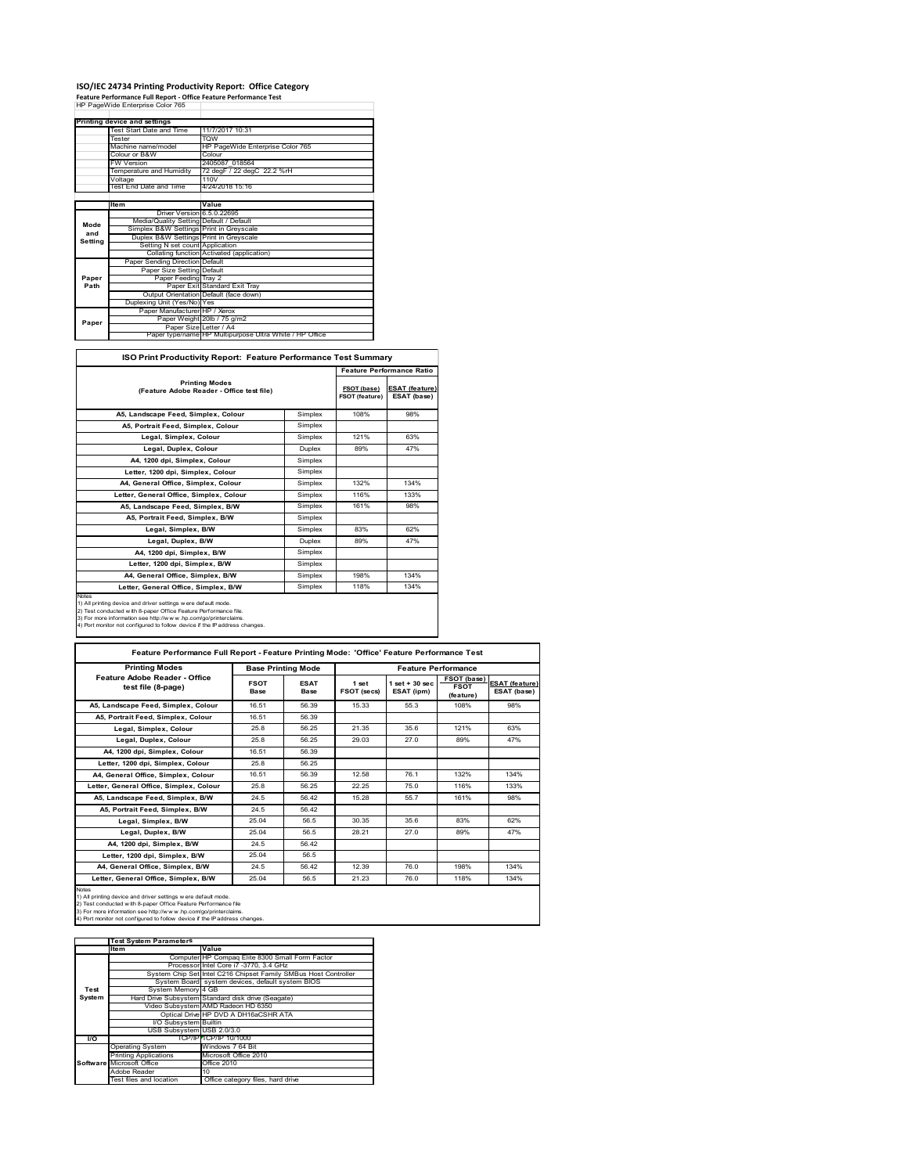#### **ISO/IEC 24734 Printing Productivity Report: Office Category**

**Feature Performance Full Report ‐ Office Feature Performance Test** HP PageWide Enterprise Color 765

|         | Printing device and settings            |                                                         |
|---------|-----------------------------------------|---------------------------------------------------------|
|         | Test Start Date and Time                | 11/7/2017 10:31                                         |
|         | Tester                                  | <b>TOW</b>                                              |
|         | Machine name/model                      | HP PageWide Enterprise Color 765                        |
|         | Colour or B&W                           | Colour                                                  |
|         | <b>FW Version</b>                       | 2405087 018564                                          |
|         | Temperature and Humidity                | 72 degF / 22 degC 22.2 %rH                              |
|         | Voltage                                 | 110V                                                    |
|         | Test End Date and Time                  | 4/24/2018 15:16                                         |
|         |                                         |                                                         |
|         | ltem                                    | Value                                                   |
|         | Driver Version 6.5.0.22695              |                                                         |
| Mode    | Media/Quality Setting Default / Default |                                                         |
| and     | Simplex B&W Settings Print in Greyscale |                                                         |
|         | Duplex B&W Settings Print in Greyscale  |                                                         |
| Setting | Setting N set count Application         |                                                         |
|         |                                         | Collating function Activated (application)              |
|         | Paper Sending Direction Default         |                                                         |
|         | Paper Size Setting Default              |                                                         |
| Paper   | Paper Feeding Tray 2                    |                                                         |
| Path    |                                         | Paper Exit Standard Exit Tray                           |
|         |                                         | Output Orientation Default (face down)                  |
|         | Duplexing Unit (Yes/No) Yes             |                                                         |
|         | Paper Manufacturer HP / Xerox           |                                                         |
|         |                                         | Paper Weight 20lb / 75 g/m2                             |
| Paper   | Paper Size Letter / A4                  |                                                         |
|         |                                         | Paper type/name HP Multipurpose Ultra White / HP Office |

٦

| <b>ISO Print Productivity Report: Feature Performance Test Summary</b>                                                                                                                                                                                                                     |         |                                      | <b>Feature Performance Ratio</b>     |
|--------------------------------------------------------------------------------------------------------------------------------------------------------------------------------------------------------------------------------------------------------------------------------------------|---------|--------------------------------------|--------------------------------------|
| <b>Printing Modes</b><br>(Feature Adobe Reader - Office test file)                                                                                                                                                                                                                         |         | FSOT (base)<br><b>FSOT (feature)</b> | <b>ESAT (feature)</b><br>ESAT (base) |
| A5. Landscape Feed. Simplex. Colour                                                                                                                                                                                                                                                        | Simplex | 108%                                 | 98%                                  |
| A5, Portrait Feed, Simplex, Colour                                                                                                                                                                                                                                                         | Simplex |                                      |                                      |
| Legal, Simplex, Colour                                                                                                                                                                                                                                                                     | Simplex | 121%                                 | 63%                                  |
| Legal, Duplex, Colour                                                                                                                                                                                                                                                                      | Duplex  | 89%                                  | 47%                                  |
| A4. 1200 dpi. Simplex. Colour                                                                                                                                                                                                                                                              | Simplex |                                      |                                      |
| Letter, 1200 dpi. Simplex, Colour                                                                                                                                                                                                                                                          | Simplex |                                      |                                      |
| A4. General Office. Simplex. Colour                                                                                                                                                                                                                                                        | Simplex | 132%                                 | 134%                                 |
| Letter, General Office, Simplex, Colour                                                                                                                                                                                                                                                    | Simplex | 116%                                 | 133%                                 |
| A5. Landscape Feed. Simplex. B/W                                                                                                                                                                                                                                                           | Simplex | 161%                                 | 98%                                  |
| A5, Portrait Feed, Simplex, B/W                                                                                                                                                                                                                                                            | Simplex |                                      |                                      |
| Legal, Simplex, B/W                                                                                                                                                                                                                                                                        | Simplex | 83%                                  | 62%                                  |
| Legal, Duplex, B/W                                                                                                                                                                                                                                                                         | Duplex  | 89%                                  | 47%                                  |
| A4, 1200 dpi, Simplex, B/W                                                                                                                                                                                                                                                                 | Simplex |                                      |                                      |
| Letter, 1200 dpi, Simplex, B/W                                                                                                                                                                                                                                                             | Simplex |                                      |                                      |
| A4, General Office, Simplex, B/W                                                                                                                                                                                                                                                           | Simplex | 198%                                 | 134%                                 |
| Letter, General Office, Simplex, B/W                                                                                                                                                                                                                                                       | Simplex | 118%                                 | 134%                                 |
| Notes<br>1) All printing device and driver settings were default mode.<br>2) Test conducted with 8-paper Office Feature Performance file.<br>3) For more information see http://www.hp.com/go/printerclaims.<br>4) Port monitor not configured to follow device if the IP address changes. |         |                                      |                                      |

4) Port monitor not configured to follow device if the IP address changes.  $\Gamma$ **Feature Performance Full Report - Feature Printing Mode: 'Office' Feature Performance Test**

| <b>ESAT</b><br><b>Base</b><br>56.39<br>56.39<br>56.25<br>56.25<br>56.39<br>56.25<br>56.39<br>56.25<br>56.42 | 1 set<br>FSOT (secs)<br>15.33<br>21.35<br>29.03<br>12.58<br>22.25<br>15.28 | $1$ set + 30 sec<br>ESAT (ipm)<br>55.3<br>35.6<br>27.0<br>76.1<br>75.0 | <b>FSOT (base)</b><br><b>FSOT</b><br>(feature)<br>108%<br>121%<br>89%<br>132%<br>116% | <b>ESAT</b> (feature)<br>ESAT (base)<br>98%<br>63%<br>47%<br>134%<br>133% |
|-------------------------------------------------------------------------------------------------------------|----------------------------------------------------------------------------|------------------------------------------------------------------------|---------------------------------------------------------------------------------------|---------------------------------------------------------------------------|
|                                                                                                             |                                                                            |                                                                        |                                                                                       |                                                                           |
|                                                                                                             |                                                                            |                                                                        |                                                                                       |                                                                           |
|                                                                                                             |                                                                            |                                                                        |                                                                                       |                                                                           |
|                                                                                                             |                                                                            |                                                                        |                                                                                       |                                                                           |
|                                                                                                             |                                                                            |                                                                        |                                                                                       |                                                                           |
|                                                                                                             |                                                                            |                                                                        |                                                                                       |                                                                           |
|                                                                                                             |                                                                            |                                                                        |                                                                                       |                                                                           |
|                                                                                                             |                                                                            |                                                                        |                                                                                       |                                                                           |
|                                                                                                             |                                                                            |                                                                        |                                                                                       |                                                                           |
|                                                                                                             |                                                                            | 55.7                                                                   | 161%                                                                                  | 98%                                                                       |
| 56.42                                                                                                       |                                                                            |                                                                        |                                                                                       |                                                                           |
| 56.5                                                                                                        | 30.35                                                                      | 35.6                                                                   | 83%                                                                                   | 62%                                                                       |
| 56.5                                                                                                        | 28.21                                                                      | 27.0                                                                   | 89%                                                                                   | 47%                                                                       |
| 56.42                                                                                                       |                                                                            |                                                                        |                                                                                       |                                                                           |
| 56.5                                                                                                        |                                                                            |                                                                        |                                                                                       |                                                                           |
| 56.42                                                                                                       | 12.39                                                                      | 76.0                                                                   | 198%                                                                                  | 134%                                                                      |
| 56.5                                                                                                        | 21.23                                                                      | 76.0                                                                   | 118%                                                                                  | 134%                                                                      |
|                                                                                                             |                                                                            |                                                                        |                                                                                       |                                                                           |

|           | <b>Test System Parameters</b> |                                                                 |
|-----------|-------------------------------|-----------------------------------------------------------------|
|           | <b>Item</b>                   | Value                                                           |
|           |                               | Computer HP Compaq Elite 8300 Small Form Factor                 |
|           |                               | Processor Intel Core i7 -3770, 3.4 GHz                          |
|           |                               | System Chip Set Intel C216 Chipset Family SMBus Host Controller |
|           |                               | System Board system devices, default system BIOS                |
| Test      | System Memory 4 GB            |                                                                 |
| System    |                               | Hard Drive Subsystem Standard disk drive (Seagate)              |
|           |                               | Video Subsystem AMD Radeon HD 6350                              |
|           |                               | Optical Drive HP DVD A DH16aCSHR ATA                            |
|           | I/O Subsystem Builtin         |                                                                 |
|           | USB Subsystem USB 2.0/3.0     |                                                                 |
| <b>VO</b> |                               | TCP/IP TCP/IP 10/1000                                           |
|           | <b>Operating System</b>       | Windows 7 64 Bit                                                |
|           | <b>Printing Applications</b>  | Microsoft Office 2010                                           |
|           | Software Microsoft Office     | Office 2010                                                     |
|           | Adobe Reader                  | 10                                                              |
|           | Test files and location       | Office category files, hard drive                               |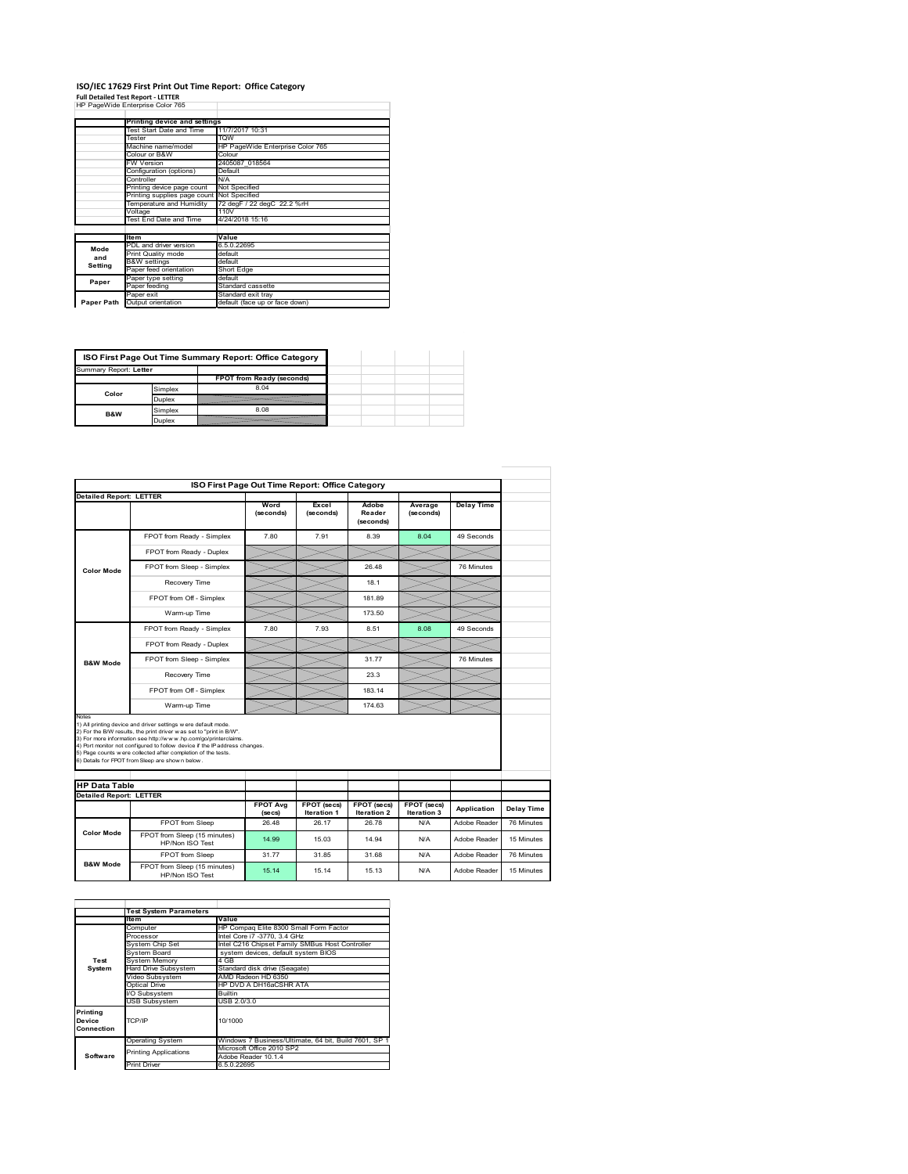#### **ISO/IEC 17629 First Print Out Time Report: Office Category** T

**Full Detailed Test Report ‐ LETTER** HP PageWide Enterprise Color 765

|            | Printing device and settings               |                                  |
|------------|--------------------------------------------|----------------------------------|
|            | Test Start Date and Time                   | 11/7/2017 10:31                  |
|            | Tester                                     | <b>TOW</b>                       |
|            | Machine name/model                         | HP PageWide Enterprise Color 765 |
|            | Colour or B&W                              | Colour                           |
|            | <b>FW Version</b>                          | 2405087 018564                   |
|            | Configuration (options)                    | Default                          |
|            | Controller                                 | N/A                              |
|            | Printing device page count                 | Not Specified                    |
|            | Printing supplies page count Not Specified |                                  |
|            | Temperature and Humidity                   | 72 degF / 22 degC 22.2 %rH       |
|            | Voltage                                    | 110V                             |
|            | Test End Date and Time                     | 4/24/2018 15:16                  |
|            |                                            |                                  |
|            | <b>Item</b>                                | Value                            |
| Mode       | PDL and driver version                     | 6.5.0.22695                      |
| and        | Print Quality mode                         | default                          |
| Setting    | <b>B&amp;W</b> settings                    | default                          |
|            | Paper feed orientation                     | Short Edge                       |
| Paper      | Paper type setting                         | default                          |
|            | Paper feeding                              | Standard cassette                |
|            | Paper exit                                 | Standard exit tray               |
| Paper Path | Output orientation                         | default (face up or face down)   |

|                        |         | ISO First Page Out Time Summary Report: Office Category |
|------------------------|---------|---------------------------------------------------------|
| Summary Report: Letter |         |                                                         |
|                        |         | FPOT from Ready (seconds)                               |
| Color                  | Simplex | 8.04                                                    |
|                        | Duplex  |                                                         |
| B&W                    | Simplex | 8.08                                                    |
|                        | Duplex  |                                                         |

|                                                        |                                                                                                                                                                                                                                                                                                                                                                                                             |                            | ISO First Page Out Time Report: Office Category |                              |                            |                   |                                        |
|--------------------------------------------------------|-------------------------------------------------------------------------------------------------------------------------------------------------------------------------------------------------------------------------------------------------------------------------------------------------------------------------------------------------------------------------------------------------------------|----------------------------|-------------------------------------------------|------------------------------|----------------------------|-------------------|----------------------------------------|
| <b>Detailed Report: LETTER</b>                         |                                                                                                                                                                                                                                                                                                                                                                                                             | Word<br>(seconds)          | Excel<br>(seconds)                              | Adobe<br>Reader<br>(seconds) | Average<br>(seconds)       | <b>Delay Time</b> |                                        |
|                                                        | FPOT from Ready - Simplex                                                                                                                                                                                                                                                                                                                                                                                   | 7.80                       | 7.91                                            | 8.39                         | 8.04                       | 49 Seconds        |                                        |
|                                                        | FPOT from Ready - Duplex                                                                                                                                                                                                                                                                                                                                                                                    |                            |                                                 |                              |                            |                   |                                        |
| <b>Color Mode</b>                                      | FPOT from Sleep - Simplex                                                                                                                                                                                                                                                                                                                                                                                   |                            |                                                 | 26.48                        |                            | 76 Minutes        |                                        |
|                                                        | Recovery Time                                                                                                                                                                                                                                                                                                                                                                                               |                            |                                                 | 18.1                         |                            |                   |                                        |
|                                                        | FPOT from Off - Simplex                                                                                                                                                                                                                                                                                                                                                                                     |                            |                                                 | 18189                        |                            |                   |                                        |
|                                                        | Warm-up Time                                                                                                                                                                                                                                                                                                                                                                                                |                            |                                                 | 173.50                       |                            |                   |                                        |
|                                                        | FPOT from Ready - Simplex                                                                                                                                                                                                                                                                                                                                                                                   | 7.80                       | 7.93                                            | 8.51                         | 8.08                       | 49 Seconds        |                                        |
|                                                        | FPOT from Ready - Duplex                                                                                                                                                                                                                                                                                                                                                                                    |                            |                                                 |                              |                            |                   |                                        |
| <b>B&amp;W Mode</b>                                    | FPOT from Sleep - Simplex                                                                                                                                                                                                                                                                                                                                                                                   |                            |                                                 | 31.77                        |                            | 76 Minutes        |                                        |
|                                                        | Recovery Time                                                                                                                                                                                                                                                                                                                                                                                               |                            |                                                 | 23.3                         |                            |                   |                                        |
|                                                        | FPOT from Off - Simplex                                                                                                                                                                                                                                                                                                                                                                                     |                            |                                                 | 183.14                       |                            |                   |                                        |
|                                                        | Warm-up Time                                                                                                                                                                                                                                                                                                                                                                                                |                            |                                                 | 174.63                       |                            |                   |                                        |
|                                                        | 1) All printing device and driver settings w ere default mode.<br>2) For the B/W results, the print driver was set to "print in B/W".<br>3) For more information see http://www.hp.com/go/printerclaims.<br>4) Port monitor not configured to follow device if the IP address changes.<br>5) Page counts w ere collected after completion of the tests.<br>6) Details for FPOT from Sleep are show n below. |                            |                                                 |                              |                            |                   |                                        |
|                                                        |                                                                                                                                                                                                                                                                                                                                                                                                             |                            |                                                 |                              |                            |                   |                                        |
|                                                        |                                                                                                                                                                                                                                                                                                                                                                                                             |                            |                                                 |                              |                            |                   |                                        |
|                                                        |                                                                                                                                                                                                                                                                                                                                                                                                             |                            |                                                 |                              |                            |                   |                                        |
|                                                        |                                                                                                                                                                                                                                                                                                                                                                                                             | <b>FPOT Avg</b><br>(se cs) | FPOT (secs)<br>Iteration 1                      | FPOT (secs)<br>Iteration 2   | FPOT (secs)<br>Iteration 3 | Application       | Delay Time                             |
|                                                        | FPOT from Sleep                                                                                                                                                                                                                                                                                                                                                                                             | 26.48                      | 26.17                                           | 26.78                        | N/A                        | Adobe Reader      |                                        |
| <b>Color Mode</b>                                      | FPOT from Sleep (15 minutes)<br>HP/Non ISO Test                                                                                                                                                                                                                                                                                                                                                             | 14.99                      | 15 03                                           | 14 94                        | N/A                        | Adobe Reader      |                                        |
| <b>HP Data Table</b><br><b>Detailed Report: LETTER</b> | FPOT from Sleep                                                                                                                                                                                                                                                                                                                                                                                             | 31.77                      | 31.85                                           | 31.68                        | N/A                        | Adobe Reader      | 76 Minutes<br>15 Minutes<br>76 Minutes |

|                                  | <b>Test System Parameters</b>   |                                                       |  |  |  |  |
|----------------------------------|---------------------------------|-------------------------------------------------------|--|--|--|--|
|                                  | <b>Item</b>                     | Value                                                 |  |  |  |  |
|                                  | Computer                        | HP Compag Elite 8300 Small Form Factor                |  |  |  |  |
|                                  | Processor                       | Intel Core i7 -3770, 3.4 GHz                          |  |  |  |  |
|                                  | System Chip Set                 | Intel C216 Chipset Family SMBus Host Controller       |  |  |  |  |
|                                  | System Board                    | system devices, default system BIOS                   |  |  |  |  |
| Test                             | <b>System Memory</b>            | 4 GB                                                  |  |  |  |  |
| System                           | <b>Hard Drive Subsystem</b>     | Standard disk drive (Seagate)                         |  |  |  |  |
|                                  | Video Subsystem                 | AMD Radeon HD 6350                                    |  |  |  |  |
|                                  | Optical Drive                   | HP DVD A DH16aCSHR ATA                                |  |  |  |  |
|                                  | I/O Subsystem<br><b>Builtin</b> |                                                       |  |  |  |  |
|                                  | <b>USB Subsystem</b>            | USB 2.0/3.0                                           |  |  |  |  |
| Printing<br>Device<br>Connection | TCP/IP                          | 10/1000                                               |  |  |  |  |
|                                  | <b>Operating System</b>         | Windows 7 Business/Ultimate, 64 bit, Build 7601, SP 1 |  |  |  |  |
| Software                         | <b>Printing Applications</b>    | Microsoft Office 2010 SP2                             |  |  |  |  |
|                                  |                                 | Adobe Reader 10.1.4                                   |  |  |  |  |
|                                  | <b>Print Driver</b>             | 6.5.0.22695                                           |  |  |  |  |